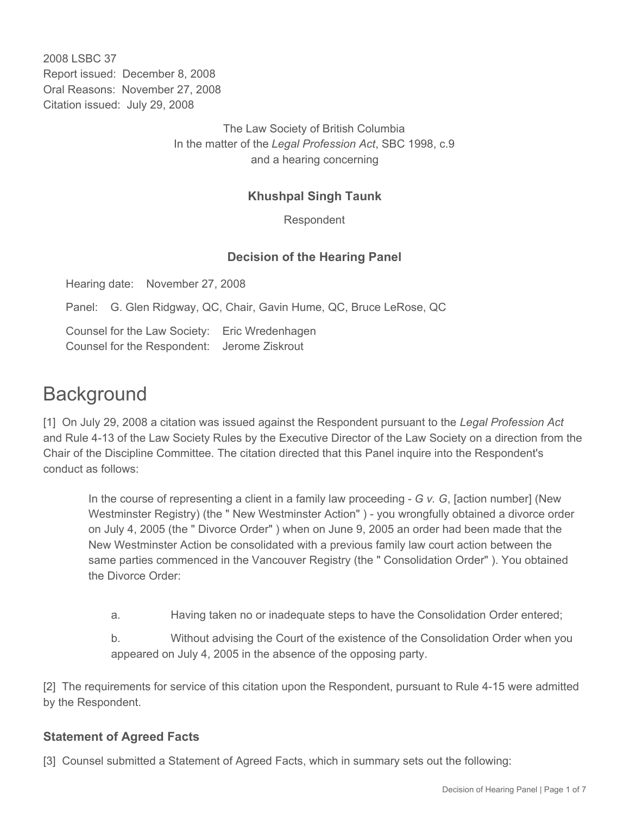2008 LSBC 37 Report issued: December 8, 2008 Oral Reasons: November 27, 2008 Citation issued: July 29, 2008

> The Law Society of British Columbia In the matter of the *Legal Profession Act*, SBC 1998, c.9 and a hearing concerning

## **Khushpal Singh Taunk**

Respondent

## **Decision of the Hearing Panel**

Hearing date: November 27, 2008

Panel: G. Glen Ridgway, QC, Chair, Gavin Hume, QC, Bruce LeRose, QC

Counsel for the Law Society: Eric Wredenhagen Counsel for the Respondent: Jerome Ziskrout

# **Background**

[1] On July 29, 2008 a citation was issued against the Respondent pursuant to the *Legal Profession Act* and Rule 4-13 of the Law Society Rules by the Executive Director of the Law Society on a direction from the Chair of the Discipline Committee. The citation directed that this Panel inquire into the Respondent's conduct as follows:

In the course of representing a client in a family law proceeding - *G v. G*, [action number] (New Westminster Registry) (the " New Westminster Action" ) - you wrongfully obtained a divorce order on July 4, 2005 (the " Divorce Order" ) when on June 9, 2005 an order had been made that the New Westminster Action be consolidated with a previous family law court action between the same parties commenced in the Vancouver Registry (the " Consolidation Order" ). You obtained the Divorce Order:

a. Having taken no or inadequate steps to have the Consolidation Order entered;

b. Without advising the Court of the existence of the Consolidation Order when you appeared on July 4, 2005 in the absence of the opposing party.

[2] The requirements for service of this citation upon the Respondent, pursuant to Rule 4-15 were admitted by the Respondent.

#### **Statement of Agreed Facts**

[3] Counsel submitted a Statement of Agreed Facts, which in summary sets out the following: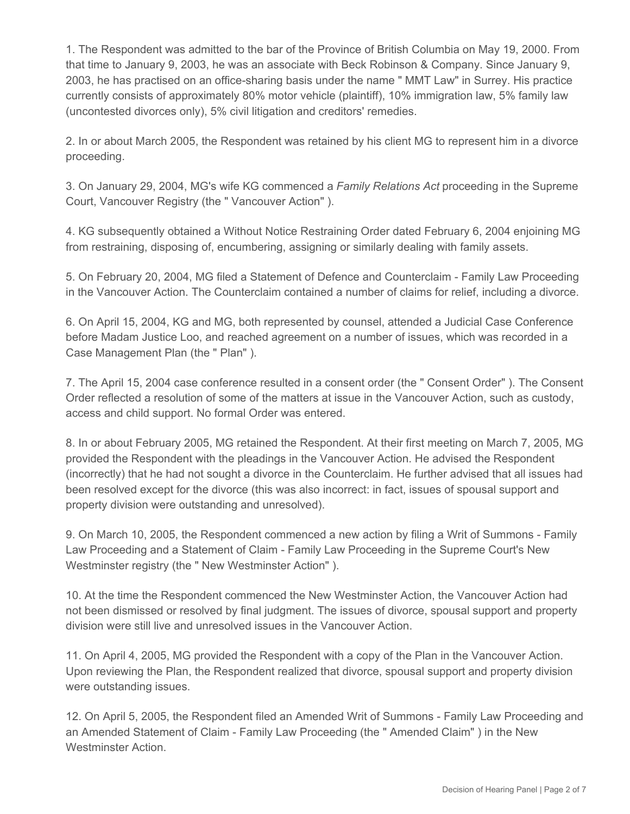1. The Respondent was admitted to the bar of the Province of British Columbia on May 19, 2000. From that time to January 9, 2003, he was an associate with Beck Robinson & Company. Since January 9, 2003, he has practised on an office-sharing basis under the name " MMT Law" in Surrey. His practice currently consists of approximately 80% motor vehicle (plaintiff), 10% immigration law, 5% family law (uncontested divorces only), 5% civil litigation and creditors' remedies.

2. In or about March 2005, the Respondent was retained by his client MG to represent him in a divorce proceeding.

3. On January 29, 2004, MG's wife KG commenced a *Family Relations Act* proceeding in the Supreme Court, Vancouver Registry (the " Vancouver Action" ).

4. KG subsequently obtained a Without Notice Restraining Order dated February 6, 2004 enjoining MG from restraining, disposing of, encumbering, assigning or similarly dealing with family assets.

5. On February 20, 2004, MG filed a Statement of Defence and Counterclaim - Family Law Proceeding in the Vancouver Action. The Counterclaim contained a number of claims for relief, including a divorce.

6. On April 15, 2004, KG and MG, both represented by counsel, attended a Judicial Case Conference before Madam Justice Loo, and reached agreement on a number of issues, which was recorded in a Case Management Plan (the " Plan" ).

7. The April 15, 2004 case conference resulted in a consent order (the " Consent Order" ). The Consent Order reflected a resolution of some of the matters at issue in the Vancouver Action, such as custody, access and child support. No formal Order was entered.

8. In or about February 2005, MG retained the Respondent. At their first meeting on March 7, 2005, MG provided the Respondent with the pleadings in the Vancouver Action. He advised the Respondent (incorrectly) that he had not sought a divorce in the Counterclaim. He further advised that all issues had been resolved except for the divorce (this was also incorrect: in fact, issues of spousal support and property division were outstanding and unresolved).

9. On March 10, 2005, the Respondent commenced a new action by filing a Writ of Summons - Family Law Proceeding and a Statement of Claim - Family Law Proceeding in the Supreme Court's New Westminster registry (the " New Westminster Action" ).

10. At the time the Respondent commenced the New Westminster Action, the Vancouver Action had not been dismissed or resolved by final judgment. The issues of divorce, spousal support and property division were still live and unresolved issues in the Vancouver Action.

11. On April 4, 2005, MG provided the Respondent with a copy of the Plan in the Vancouver Action. Upon reviewing the Plan, the Respondent realized that divorce, spousal support and property division were outstanding issues.

12. On April 5, 2005, the Respondent filed an Amended Writ of Summons - Family Law Proceeding and an Amended Statement of Claim - Family Law Proceeding (the " Amended Claim" ) in the New Westminster Action.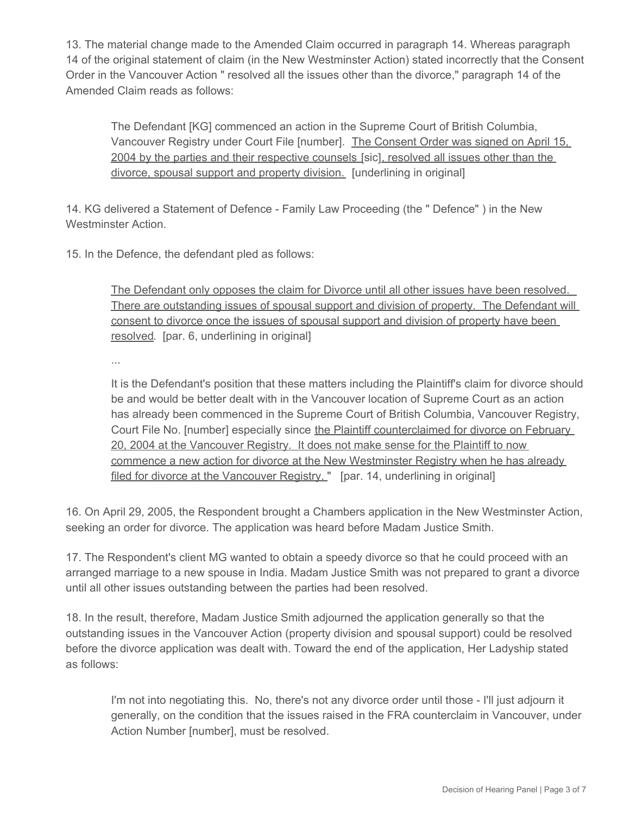13. The material change made to the Amended Claim occurred in paragraph 14. Whereas paragraph 14 of the original statement of claim (in the New Westminster Action) stated incorrectly that the Consent Order in the Vancouver Action " resolved all the issues other than the divorce," paragraph 14 of the Amended Claim reads as follows:

The Defendant [KG] commenced an action in the Supreme Court of British Columbia, Vancouver Registry under Court File [number]. The Consent Order was signed on April 15, 2004 by the parties and their respective counsels [sic], resolved all issues other than the divorce, spousal support and property division. [underlining in original]

14. KG delivered a Statement of Defence - Family Law Proceeding (the " Defence" ) in the New Westminster Action.

15. In the Defence, the defendant pled as follows:

The Defendant only opposes the claim for Divorce until all other issues have been resolved. There are outstanding issues of spousal support and division of property. The Defendant will consent to divorce once the issues of spousal support and division of property have been resolved. [par. 6, underlining in original]

...

It is the Defendant's position that these matters including the Plaintiff's claim for divorce should be and would be better dealt with in the Vancouver location of Supreme Court as an action has already been commenced in the Supreme Court of British Columbia, Vancouver Registry, Court File No. [number] especially since the Plaintiff counterclaimed for divorce on February 20, 2004 at the Vancouver Registry. It does not make sense for the Plaintiff to now commence a new action for divorce at the New Westminster Registry when he has already filed for divorce at the Vancouver Registry. " [par. 14, underlining in original]

16. On April 29, 2005, the Respondent brought a Chambers application in the New Westminster Action, seeking an order for divorce. The application was heard before Madam Justice Smith.

17. The Respondent's client MG wanted to obtain a speedy divorce so that he could proceed with an arranged marriage to a new spouse in India. Madam Justice Smith was not prepared to grant a divorce until all other issues outstanding between the parties had been resolved.

18. In the result, therefore, Madam Justice Smith adjourned the application generally so that the outstanding issues in the Vancouver Action (property division and spousal support) could be resolved before the divorce application was dealt with. Toward the end of the application, Her Ladyship stated as follows:

I'm not into negotiating this. No, there's not any divorce order until those - I'll just adjourn it generally, on the condition that the issues raised in the FRA counterclaim in Vancouver, under Action Number [number], must be resolved.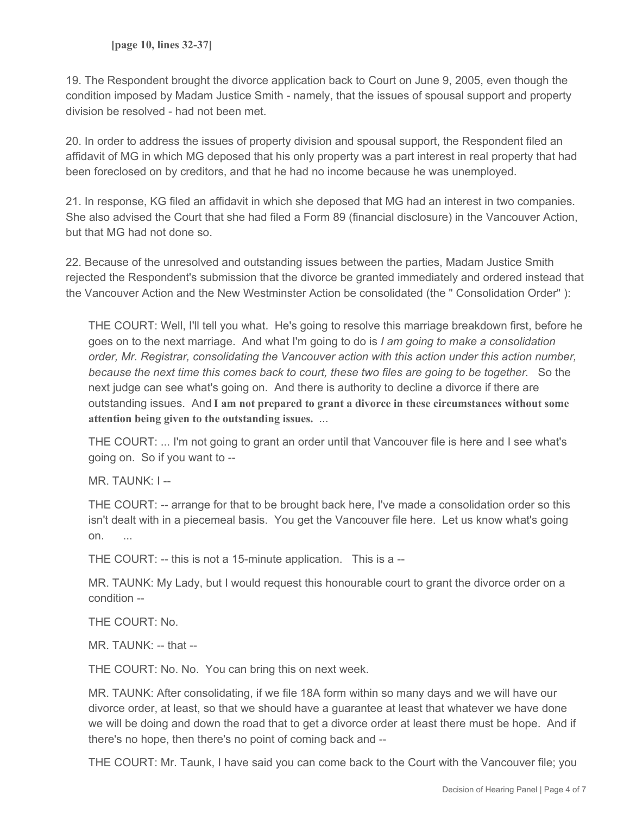19. The Respondent brought the divorce application back to Court on June 9, 2005, even though the condition imposed by Madam Justice Smith - namely, that the issues of spousal support and property division be resolved - had not been met.

20. In order to address the issues of property division and spousal support, the Respondent filed an affidavit of MG in which MG deposed that his only property was a part interest in real property that had been foreclosed on by creditors, and that he had no income because he was unemployed.

21. In response, KG filed an affidavit in which she deposed that MG had an interest in two companies. She also advised the Court that she had filed a Form 89 (financial disclosure) in the Vancouver Action, but that MG had not done so.

22. Because of the unresolved and outstanding issues between the parties, Madam Justice Smith rejected the Respondent's submission that the divorce be granted immediately and ordered instead that the Vancouver Action and the New Westminster Action be consolidated (the " Consolidation Order" ):

THE COURT: Well, I'll tell you what. He's going to resolve this marriage breakdown first, before he goes on to the next marriage. And what I'm going to do is *I am going to make a consolidation order, Mr. Registrar, consolidating the Vancouver action with this action under this action number, because the next time this comes back to court, these two files are going to be together.* So the next judge can see what's going on. And there is authority to decline a divorce if there are outstanding issues. And **I am not prepared to grant a divorce in these circumstances without some attention being given to the outstanding issues.** ...

THE COURT: ... I'm not going to grant an order until that Vancouver file is here and I see what's going on. So if you want to --

MR. TAUNK: I --

THE COURT: -- arrange for that to be brought back here, I've made a consolidation order so this isn't dealt with in a piecemeal basis. You get the Vancouver file here. Let us know what's going on. ...

THE COURT: -- this is not a 15-minute application. This is a --

MR. TAUNK: My Lady, but I would request this honourable court to grant the divorce order on a condition --

THE COURT: No.

MR. TAUNK: -- that --

THE COURT: No. No. You can bring this on next week.

MR. TAUNK: After consolidating, if we file 18A form within so many days and we will have our divorce order, at least, so that we should have a guarantee at least that whatever we have done we will be doing and down the road that to get a divorce order at least there must be hope. And if there's no hope, then there's no point of coming back and --

THE COURT: Mr. Taunk, I have said you can come back to the Court with the Vancouver file; you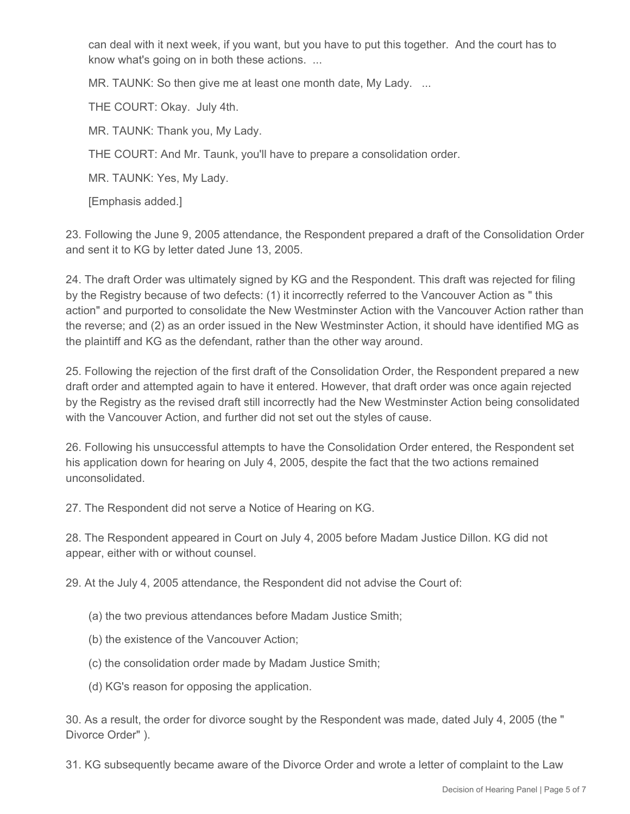can deal with it next week, if you want, but you have to put this together. And the court has to know what's going on in both these actions. ...

MR. TAUNK: So then give me at least one month date, My Lady. ...

THE COURT: Okay. July 4th.

MR. TAUNK: Thank you, My Lady.

THE COURT: And Mr. Taunk, you'll have to prepare a consolidation order.

MR. TAUNK: Yes, My Lady.

[Emphasis added.]

23. Following the June 9, 2005 attendance, the Respondent prepared a draft of the Consolidation Order and sent it to KG by letter dated June 13, 2005.

24. The draft Order was ultimately signed by KG and the Respondent. This draft was rejected for filing by the Registry because of two defects: (1) it incorrectly referred to the Vancouver Action as " this action" and purported to consolidate the New Westminster Action with the Vancouver Action rather than the reverse; and (2) as an order issued in the New Westminster Action, it should have identified MG as the plaintiff and KG as the defendant, rather than the other way around.

25. Following the rejection of the first draft of the Consolidation Order, the Respondent prepared a new draft order and attempted again to have it entered. However, that draft order was once again rejected by the Registry as the revised draft still incorrectly had the New Westminster Action being consolidated with the Vancouver Action, and further did not set out the styles of cause.

26. Following his unsuccessful attempts to have the Consolidation Order entered, the Respondent set his application down for hearing on July 4, 2005, despite the fact that the two actions remained unconsolidated.

27. The Respondent did not serve a Notice of Hearing on KG.

28. The Respondent appeared in Court on July 4, 2005 before Madam Justice Dillon. KG did not appear, either with or without counsel.

29. At the July 4, 2005 attendance, the Respondent did not advise the Court of:

- (a) the two previous attendances before Madam Justice Smith;
- (b) the existence of the Vancouver Action;
- (c) the consolidation order made by Madam Justice Smith;
- (d) KG's reason for opposing the application.

30. As a result, the order for divorce sought by the Respondent was made, dated July 4, 2005 (the " Divorce Order" ).

31. KG subsequently became aware of the Divorce Order and wrote a letter of complaint to the Law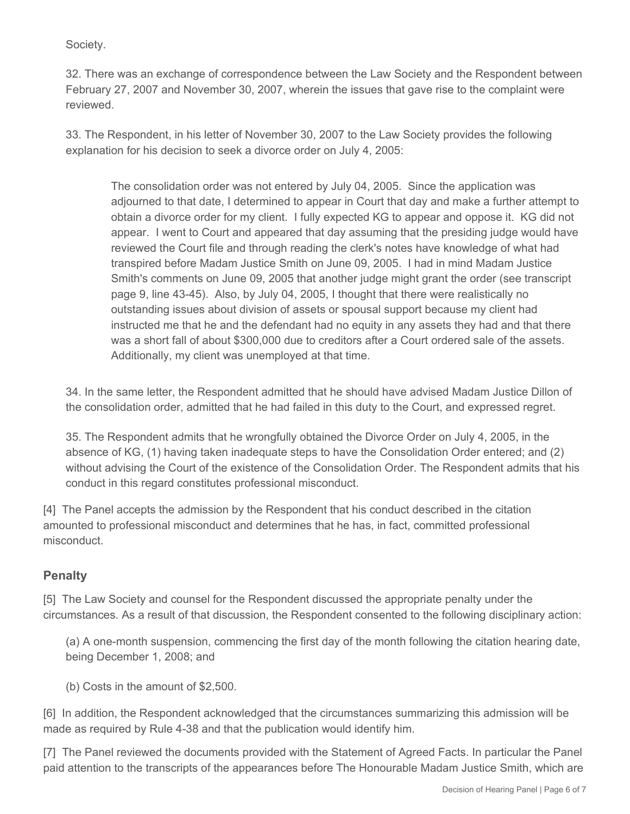Society.

32. There was an exchange of correspondence between the Law Society and the Respondent between February 27, 2007 and November 30, 2007, wherein the issues that gave rise to the complaint were reviewed.

33. The Respondent, in his letter of November 30, 2007 to the Law Society provides the following explanation for his decision to seek a divorce order on July 4, 2005:

The consolidation order was not entered by July 04, 2005. Since the application was adjourned to that date, I determined to appear in Court that day and make a further attempt to obtain a divorce order for my client. I fully expected KG to appear and oppose it. KG did not appear. I went to Court and appeared that day assuming that the presiding judge would have reviewed the Court file and through reading the clerk's notes have knowledge of what had transpired before Madam Justice Smith on June 09, 2005. I had in mind Madam Justice Smith's comments on June 09, 2005 that another judge might grant the order (see transcript page 9, line 43-45). Also, by July 04, 2005, I thought that there were realistically no outstanding issues about division of assets or spousal support because my client had instructed me that he and the defendant had no equity in any assets they had and that there was a short fall of about \$300,000 due to creditors after a Court ordered sale of the assets. Additionally, my client was unemployed at that time.

34. In the same letter, the Respondent admitted that he should have advised Madam Justice Dillon of the consolidation order, admitted that he had failed in this duty to the Court, and expressed regret.

35. The Respondent admits that he wrongfully obtained the Divorce Order on July 4, 2005, in the absence of KG, (1) having taken inadequate steps to have the Consolidation Order entered; and (2) without advising the Court of the existence of the Consolidation Order. The Respondent admits that his conduct in this regard constitutes professional misconduct.

[4] The Panel accepts the admission by the Respondent that his conduct described in the citation amounted to professional misconduct and determines that he has, in fact, committed professional misconduct.

### **Penalty**

[5] The Law Society and counsel for the Respondent discussed the appropriate penalty under the circumstances. As a result of that discussion, the Respondent consented to the following disciplinary action:

(a) A one-month suspension, commencing the first day of the month following the citation hearing date, being December 1, 2008; and

(b) Costs in the amount of \$2,500.

[6] In addition, the Respondent acknowledged that the circumstances summarizing this admission will be made as required by Rule 4-38 and that the publication would identify him.

[7] The Panel reviewed the documents provided with the Statement of Agreed Facts. In particular the Panel paid attention to the transcripts of the appearances before The Honourable Madam Justice Smith, which are